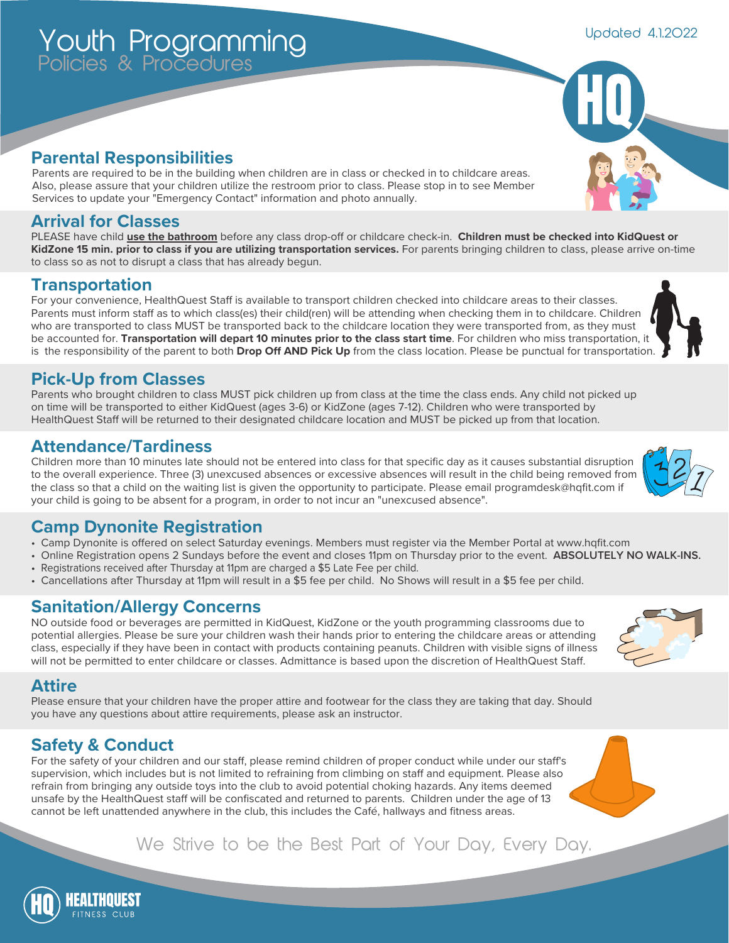#### **Parental Responsibilities**

Policies & Procedures

Youth Programming

Parents are required to be in the building when children are in class or checked in to childcare areas. Also, please assure that your children utilize the restroom prior to class. Please stop in to see Member Services to update your "Emergency Contact" information and photo annually.

#### **Arrival for Classes**

PLEASE have child **use the bathroom** before any class drop-off or childcare check-in. **Children must be checked into KidQuest or KidZone 15 min. prior to class if you are utilizing transportation services.** For parents bringing children to class, please arrive on-time to class so as not to disrupt a class that has already begun.

#### **Transportation**

For your convenience, HealthQuest Staff is available to transport children checked into childcare areas to their classes. Parents must inform staff as to which class(es) their child(ren) will be attending when checking them in to childcare. Children who are transported to class MUST be transported back to the childcare location they were transported from, as they must be accounted for. **Transportation will depart 10 minutes prior to the class start time**. For children who miss transportation, it is the responsibility of the parent to both **Drop Off AND Pick Up** from the class location. Please be punctual for transportation.

#### **Pick-Up from Classes**

Parents who brought children to class MUST pick children up from class at the time the class ends. Any child not picked up on time will be transported to either KidQuest (ages 3-6) or KidZone (ages 7-12). Children who were transported by HealthQuest Staff will be returned to their designated childcare location and MUST be picked up from that location.

#### **Attendance/Tardiness**

Children more than 10 minutes late should not be entered into class for that specific day as it causes substantial disruption to the overall experience. Three (3) unexcused absences or excessive absences will result in the child being removed from the class so that a child on the waiting list is given the opportunity to participate. Please email programdesk@hqfit.com if your child is going to be absent for a program, in order to not incur an "unexcused absence".

### **Camp Dynonite Registration**

- Camp Dynonite is offered on select Saturday evenings. Members must register via the Member Portal at www.hqfit.com
- Online Registration opens 2 Sundays before the event and closes 11pm on Thursday prior to the event. **ABSOLUTELY NO WALK-INS.**
- Registrations received after Thursday at 11pm are charged a \$5 Late Fee per child.
- Cancellations after Thursday at 11pm will result in a \$5 fee per child. No Shows will result in a \$5 fee per child.

#### **Sanitation/Allergy Concerns**

NO outside food or beverages are permitted in KidQuest, KidZone or the youth programming classrooms due to potential allergies. Please be sure your children wash their hands prior to entering the childcare areas or attending class, especially if they have been in contact with products containing peanuts. Children with visible signs of illness will not be permitted to enter childcare or classes. Admittance is based upon the discretion of HealthQuest Staff.

#### **Attire**

Please ensure that your children have the proper attire and footwear for the class they are taking that day. Should you have any questions about attire requirements, please ask an instructor.

## **Safety & Conduct**

For the safety of your children and our staff, please remind children of proper conduct while under our staff's supervision, which includes but is not limited to refraining from climbing on staff and equipment. Please also refrain from bringing any outside toys into the club to avoid potential choking hazards. Any items deemed unsafe by the HealthQuest staff will be confiscated and returned to parents. Children under the age of 13 cannot be left unattended anywhere in the club, this includes the Café, hallways and fitness areas.

## We Strive to be the Best Part of Your Day, Every Day.